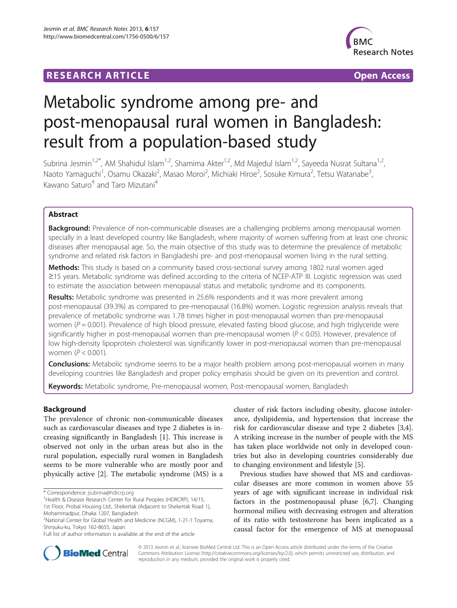## **RESEARCH ARTICLE Example 2014 CONSIDERING A RESEARCH ARTICLE**



# Metabolic syndrome among pre- and post-menopausal rural women in Bangladesh: result from a population-based study

Subrina Jesmin<sup>1,2\*</sup>, AM Shahidul Islam<sup>1,2</sup>, Shamima Akter<sup>1,2</sup>, Md Majedul Islam<sup>1,2</sup>, Sayeeda Nusrat Sultana<sup>1,2</sup>, Naoto Yamaguchi<sup>1</sup>, Osamu Okazaki<sup>2</sup>, Masao Moroi<sup>2</sup>, Michiaki Hiroe<sup>2</sup>, Sosuke Kimura<sup>2</sup>, Tetsu Watanabe<sup>3</sup> , Kawano Saturo<sup>4</sup> and Taro Mizutani<sup>4</sup>

## Abstract

**Background:** Prevalence of non-communicable diseases are a challenging problems among menopausal women specially in a least developed country like Bangladesh, where majority of women suffering from at least one chronic diseases after menopausal age. So, the main objective of this study was to determine the prevalence of metabolic syndrome and related risk factors in Bangladeshi pre- and post-menopausal women living in the rural setting.

Methods: This study is based on a community based cross-sectional survey among 1802 rural women aged ≥15 years. Metabolic syndrome was defined according to the criteria of NCEP-ATP III. Logistic regression was used to estimate the association between menopausal status and metabolic syndrome and its components.

Results: Metabolic syndrome was presented in 25.6% respondents and it was more prevalent among post-menopausal (39.3%) as compared to pre-menopausal (16.8%) women. Logistic regression analysis reveals that prevalence of metabolic syndrome was 1.78 times higher in post-menopausal women than pre-menopausal women ( $P = 0.001$ ). Prevalence of high blood pressure, elevated fasting blood glucose, and high triglyceride were significantly higher in post-menopausal women than pre-menopausal women  $(P < 0.05)$ . However, prevalence of low high-density lipoprotein cholesterol was significantly lower in post-menopausal women than pre-menopausal women ( $P < 0.001$ ).

**Conclusions:** Metabolic syndrome seems to be a major health problem among post-menopausal women in many developing countries like Bangladesh and proper policy emphasis should be given on its prevention and control.

Keywords: Metabolic syndrome, Pre-menopausal women, Post-menopausal women, Bangladesh

## Background

The prevalence of chronic non-communicable diseases such as cardiovascular diseases and type 2 diabetes is increasing significantly in Bangladesh [\[1](#page-5-0)]. This increase is observed not only in the urban areas but also in the rural population, especially rural women in Bangladesh seems to be more vulnerable who are mostly poor and physically active [\[2](#page-5-0)]. The metabolic syndrome (MS) is a

cluster of risk factors including obesity, glucose intolerance, dyslipidemia, and hypertension that increase the risk for cardiovascular disease and type 2 diabetes [\[3,4](#page-5-0)]. A striking increase in the number of people with the MS has taken place worldwide not only in developed countries but also in developing countries considerably due to changing environment and lifestyle [[5\]](#page-5-0).

Previous studies have showed that MS and cardiovascular diseases are more common in women above 55 years of age with significant increase in individual risk factors in the postmenopausal phase [[6,7\]](#page-5-0). Changing hormonal milieu with decreasing estrogen and alteration of its ratio with testosterone has been implicated as a causal factor for the emergence of MS at menopausal



© 2013 Jesmin et al.; licensee BioMed Central Ltd. This is an Open Access article distributed under the terms of the Creative Commons Attribution License [\(http://creativecommons.org/licenses/by/2.0\)](http://creativecommons.org/licenses/by/2.0), which permits unrestricted use, distribution, and reproduction in any medium, provided the original work is properly cited.

<sup>\*</sup> Correspondence: [jsubrina@hdrcrp.org](mailto:jsubrina@hdrcrp.org) <sup>1</sup>

<sup>&</sup>lt;sup>1</sup> Health & Disease Research Center for Rural Peoples (HDRCRP), 14/15,

<sup>1</sup>st Floor, Probal Housing Ltd., Shekertak (Adjacent to Shekertak Road 1), Mohammadpur, Dhaka 1207, Bangladesh

<sup>2</sup> National Center for Global Health and Medicine (NCGM), 1-21-1 Toyama, Shinjuku-ku, Tokyo 162-8655, Japan

Full list of author information is available at the end of the article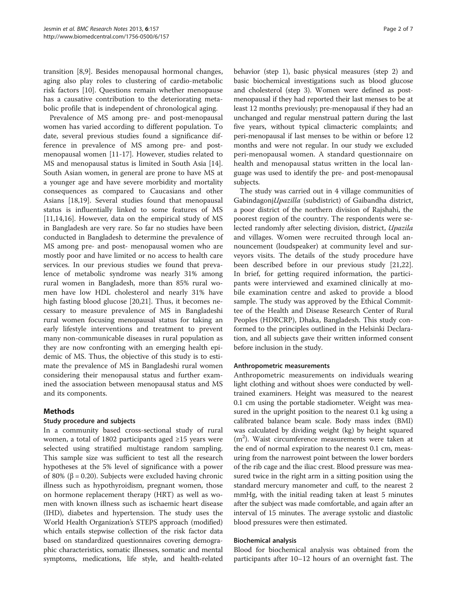transition [\[8,9](#page-5-0)]. Besides menopausal hormonal changes, aging also play roles to clustering of cardio-metabolic risk factors [\[10](#page-5-0)]. Questions remain whether menopause has a causative contribution to the deteriorating metabolic profile that is independent of chronological aging.

Prevalence of MS among pre- and post-menopausal women has varied according to different population. To date, several previous studies found a significance difference in prevalence of MS among pre- and postmenopausal women [[11-17\]](#page-5-0). However, studies related to MS and menopausal status is limited in South Asia [\[14](#page-5-0)]. South Asian women, in general are prone to have MS at a younger age and have severe morbidity and mortality consequences as compared to Caucasians and other Asians [[18,19\]](#page-5-0). Several studies found that menopausal status is influentially linked to some features of MS [[11,14,16\]](#page-5-0). However, data on the empirical study of MS in Bangladesh are very rare. So far no studies have been conducted in Bangladesh to determine the prevalence of MS among pre- and post- menopausal women who are mostly poor and have limited or no access to health care services. In our previous studies we found that prevalence of metabolic syndrome was nearly 31% among rural women in Bangladesh, more than 85% rural women have low HDL cholesterol and nearly 31% have high fasting blood glucose [[20,21\]](#page-5-0). Thus, it becomes necessary to measure prevalence of MS in Bangladeshi rural women focusing menopausal status for taking an early lifestyle interventions and treatment to prevent many non-communicable diseases in rural population as they are now confronting with an emerging health epidemic of MS. Thus, the objective of this study is to estimate the prevalence of MS in Bangladeshi rural women considering their menopausal status and further examined the association between menopausal status and MS and its components.

## Methods

## Study procedure and subjects

In a community based cross-sectional study of rural women, a total of 1802 participants aged ≥15 years were selected using stratified multistage random sampling. This sample size was sufficient to test all the research hypotheses at the 5% level of significance with a power of 80% ( $\beta$  = 0.20). Subjects were excluded having chronic illness such as hypothyroidism, pregnant women, those on hormone replacement therapy (HRT) as well as women with known illness such as ischaemic heart disease (IHD), diabetes and hypertension. The study uses the World Health Organization's STEPS approach (modified) which entails stepwise collection of the risk factor data based on standardized questionnaires covering demographic characteristics, somatic illnesses, somatic and mental symptoms, medications, life style, and health-related

behavior (step 1), basic physical measures (step 2) and basic biochemical investigations such as blood glucose and cholesterol (step 3). Women were defined as postmenopausal if they had reported their last menses to be at least 12 months previously; pre-menopausal if they had an unchanged and regular menstrual pattern during the last five years, without typical climacteric complaints; and peri-menopausal if last menses to be within or before 12 months and were not regular. In our study we excluded peri-menopausal women. A standard questionnaire on health and menopausal status written in the local language was used to identify the pre- and post-menopausal subjects.

The study was carried out in 4 village communities of GabindagonjUpazilla (subdistrict) of Gaibandha district, a poor district of the northern division of Rajshahi, the poorest region of the country. The respondents were selected randomly after selecting division, district, Upazila and villages. Women were recruited through local announcement (loudspeaker) at community level and surveyors visits. The details of the study procedure have been described before in our previous study [\[21,22](#page-5-0)]. In brief, for getting required information, the participants were interviewed and examined clinically at mobile examination centre and asked to provide a blood sample. The study was approved by the Ethical Committee of the Health and Disease Research Center of Rural Peoples (HDRCRP), Dhaka, Bangladesh. This study conformed to the principles outlined in the Helsinki Declaration, and all subjects gave their written informed consent before inclusion in the study.

#### Anthropometric measurements

Anthropometric measurements on individuals wearing light clothing and without shoes were conducted by welltrained examiners. Height was measured to the nearest 0.1 cm using the portable stadiometer. Weight was measured in the upright position to the nearest 0.1 kg using a calibrated balance beam scale. Body mass index (BMI) was calculated by dividing weight (kg) by height squared (m2 ). Waist circumference measurements were taken at the end of normal expiration to the nearest 0.1 cm, measuring from the narrowest point between the lower borders of the rib cage and the iliac crest. Blood pressure was measured twice in the right arm in a sitting position using the standard mercury manometer and cuff, to the nearest 2 mmHg, with the initial reading taken at least 5 minutes after the subject was made comfortable, and again after an interval of 15 minutes. The average systolic and diastolic blood pressures were then estimated.

#### Biochemical analysis

Blood for biochemical analysis was obtained from the participants after 10–12 hours of an overnight fast. The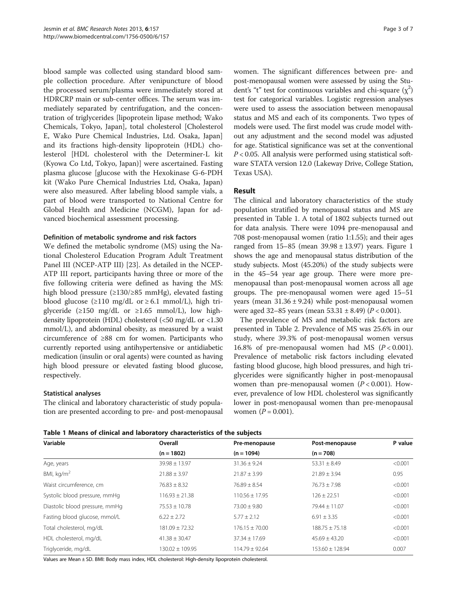blood sample was collected using standard blood sample collection procedure. After venipuncture of blood the processed serum/plasma were immediately stored at HDRCRP main or sub-center offices. The serum was immediately separated by centrifugation, and the concentration of triglycerides [lipoprotein lipase method; Wako Chemicals, Tokyo, Japan], total cholesterol [Cholesterol E, Wako Pure Chemical Industries, Ltd. Osaka, Japan] and its fractions high-density lipoprotein (HDL) cholesterol [HDL cholesterol with the Determiner-L kit (Kyowa Co Ltd, Tokyo, Japan)] were ascertained. Fasting plasma glucose [glucose with the Hexokinase G-6-PDH kit (Wako Pure Chemical Industries Ltd, Osaka, Japan) were also measured. After labeling blood sample vials, a part of blood were transported to National Centre for Global Health and Medicine (NCGM), Japan for advanced biochemical assessment processing.

#### Definition of metabolic syndrome and risk factors

We defined the metabolic syndrome (MS) using the National Cholesterol Education Program Adult Treatment Panel III (NCEP-ATP III) [[23](#page-5-0)]. As detailed in the NCEP-ATP III report, participants having three or more of the five following criteria were defined as having the MS: high blood pressure (≥130/≥85 mmHg), elevated fasting blood glucose ( $\geq$ 110 mg/dL or  $\geq$  6.1 mmol/L), high triglyceride (≥150 mg/dL or ≥1.65 mmol/L), low highdensity lipoprotein (HDL) cholesterol (<50 mg/dL or <1.30 mmol/L), and abdominal obesity, as measured by a waist circumference of ≥88 cm for women. Participants who currently reported using antihypertensive or antidiabetic medication (insulin or oral agents) were counted as having high blood pressure or elevated fasting blood glucose, respectively.

## Statistical analyses

The clinical and laboratory characteristic of study population are presented according to pre- and post-menopausal

women. The significant differences between pre- and post-menopausal women were assessed by using the Student's "t" test for continuous variables and chi-square  $(\chi^2)$ test for categorical variables. Logistic regression analyses were used to assess the association between menopausal status and MS and each of its components. Two types of models were used. The first model was crude model without any adjustment and the second model was adjusted for age. Statistical significance was set at the conventional  $P < 0.05$ . All analysis were performed using statistical software STATA version 12.0 (Lakeway Drive, College Station, Texas USA).

## Result

The clinical and laboratory characteristics of the study population stratified by menopausal status and MS are presented in Table 1. A total of 1802 subjects turned out for data analysis. There were 1094 pre-menopausal and 708 post-menopausal women (ratio 1:1.55); and their ages ranged from  $15-85$  (mean  $39.98 \pm 13.97$  $39.98 \pm 13.97$  $39.98 \pm 13.97$ ) years. Figure 1 shows the age and menopausal status distribution of the study subjects. Most (45.20%) of the study subjects were in the 45–54 year age group. There were more premenopausal than post-menopausal women across all age groups. The pre-menopausal women were aged 15–51 years (mean  $31.36 \pm 9.24$ ) while post-menopausal women were aged 32–85 years (mean  $53.31 \pm 8.49$ ) ( $P < 0.001$ ).

The prevalence of MS and metabolic risk factors are presented in Table [2](#page-3-0). Prevalence of MS was 25.6% in our study, where 39.3% of post-menopausal women versus 16.8% of pre-menopausal women had MS  $(P < 0.001)$ . Prevalence of metabolic risk factors including elevated fasting blood glucose, high blood pressures, and high triglycerides were significantly higher in post-menopausal women than pre-menopausal women  $(P < 0.001)$ . However, prevalence of low HDL cholesterol was significantly lower in post-menopausal women than pre-menopausal women  $(P = 0.001)$ .

Table 1 Means of clinical and laboratory characteristics of the subjects

| Variable                       | Overall             | Pre-menopause      | Post-menopause      | P value |
|--------------------------------|---------------------|--------------------|---------------------|---------|
|                                | $(n = 1802)$        | $(n = 1094)$       | $(n = 708)$         |         |
| Age, years                     | $39.98 \pm 13.97$   | $31.36 \pm 9.24$   | $53.31 \pm 8.49$    | < 0.001 |
| BMI, $kg/m2$                   | $21.88 \pm 3.97$    | $21.87 \pm 3.99$   | $21.89 \pm 3.94$    | 0.95    |
| Waist circumference, cm        | $76.83 \pm 8.32$    | $76.89 \pm 8.54$   | $76.73 \pm 7.98$    | < 0.001 |
| Systolic blood pressure, mmHg  | $116.93 \pm 21.38$  | $110.56 + 17.95$   | $126 \pm 22.51$     | < 0.001 |
| Diastolic blood pressure, mmHg | $75.53 \pm 10.78$   | $73.00 \pm 9.80$   | $79.44 \pm 11.07$   | < 0.001 |
| Fasting blood glucose, mmol/L  | $6.22 \pm 2.72$     | $5.77 \pm 2.12$    | $6.91 \pm 3.35$     | < 0.001 |
| Total cholesterol, mg/dL       | $181.09 \pm 72.32$  | $176.15 \pm 70.00$ | $188.75 \pm 75.18$  | < 0.001 |
| HDL cholesterol, mg/dL         | $41.38 \pm 30.47$   | $37.34 \pm 17.69$  | $45.69 \pm 43.20$   | < 0.001 |
| Triglyceride, mg/dL            | $130.02 \pm 109.95$ | $114.79 \pm 92.64$ | $153.60 \pm 128.94$ | 0.007   |

Values are Mean ± SD. BMI: Body mass index, HDL cholesterol: High-density lipoprotein cholesterol.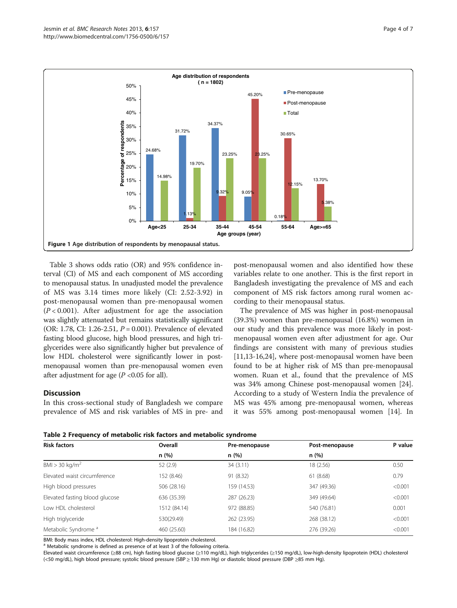<span id="page-3-0"></span>

Table [3](#page-4-0) shows odds ratio (OR) and 95% confidence interval (CI) of MS and each component of MS according to menopausal status. In unadjusted model the prevalence of MS was 3.14 times more likely (CI: 2.52-3.92) in post-menopausal women than pre-menopausal women  $(P < 0.001)$ . After adjustment for age the association was slightly attenuated but remains statistically significant (OR: 1.78, CI: 1.26-2.51,  $P = 0.001$ ). Prevalence of elevated fasting blood glucose, high blood pressures, and high triglycerides were also significantly higher but prevalence of low HDL cholesterol were significantly lower in postmenopausal women than pre-menopausal women even after adjustment for age ( $P$  <0.05 for all).

## **Discussion**

In this cross-sectional study of Bangladesh we compare prevalence of MS and risk variables of MS in pre- and

post-menopausal women and also identified how these variables relate to one another. This is the first report in Bangladesh investigating the prevalence of MS and each component of MS risk factors among rural women according to their menopausal status.

The prevalence of MS was higher in post-menopausal (39.3%) women than pre-menopausal (16.8%) women in our study and this prevalence was more likely in postmenopausal women even after adjustment for age. Our findings are consistent with many of previous studies [[11,13-16,24\]](#page-5-0), where post-menopausal women have been found to be at higher risk of MS than pre-menopausal women. Ruan et al., found that the prevalence of MS was 34% among Chinese post-menopausal women [\[24](#page-5-0)]. According to a study of Western India the prevalence of MS was 45% among pre-menopausal women, whereas it was 55% among post-menopausal women [[14\]](#page-5-0). In



| <b>Risk factors</b>             | Overall<br>n(%) | Pre-menopause<br>n(%) | Post-menopause<br>n(%) | P value |
|---------------------------------|-----------------|-----------------------|------------------------|---------|
|                                 |                 |                       |                        |         |
| Elevated waist circumference    | 152 (8.46)      | 91 (8.32)             | 61(8.68)               | 0.79    |
| High blood pressures            | 506 (28.16)     | 159 (14.53)           | 347 (49.36)            | < 0.001 |
| Elevated fasting blood glucose  | 636 (35.39)     | 287 (26.23)           | 349 (49.64)            | < 0.001 |
| Low HDL cholesterol             | 1512 (84.14)    | 972 (88.85)           | 540 (76.81)            | 0.001   |
| High triglyceride               | 530(29.49)      | 262 (23.95)           | 268 (38.12)            | < 0.001 |
| Metabolic Syndrome <sup>a</sup> | 460 (25.60)     | 184 (16.82)           | 276 (39.26)            | < 0.001 |

BMI: Body mass index, HDL cholesterol: High-density lipoprotein cholesterol.

<sup>a</sup> Metabolic syndrome is defined as presence of at least 3 of the following criteria.

Elevated waist circumference (≥88 cm), high fasting blood glucose (≥110 mg/dL), high triglycerides (≥150 mg/dL), low-high-density lipoprotein (HDL) cholesterol (<50 mg/dL), high blood pressure; systolic blood pressure (SBP ≥ 130 mm Hg) or diastolic blood pressure (DBP ≥85 mm Hg).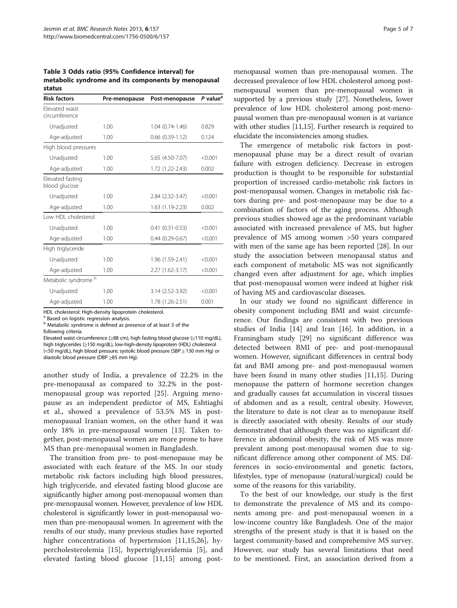<span id="page-4-0"></span>Table 3 Odds ratio (95% Confidence interval) for metabolic syndrome and its components by menopausal status

| <b>Risk factors</b>               | Pre-menopause | Post-menopause       | P value <sup>a</sup> |
|-----------------------------------|---------------|----------------------|----------------------|
| Flevated waist<br>circumference   |               |                      |                      |
| Unadjusted                        | 1.00          | 1.04 (0.74-1.46)     | 0.829                |
| Age-adjusted                      | 1.00          | $0.66$ $(0.39-1.12)$ | 0.124                |
| High blood pressures              |               |                      |                      |
| Unadjusted                        | 1.00          | 5.65 (4.50-7.07)     | < 0.001              |
| Age-adjusted                      | 1.00          | 1.72 (1.22-2.43)     | 0.002                |
| Elevated fasting<br>blood glucose |               |                      |                      |
| Unadjusted                        | 1.00          | 2.84 (2.32-3.47)     | < 0.001              |
| Age-adjusted                      | 1.00          | 1.63 (1.19-2.23)     | 0.002                |
| Low HDL cholesterol               |               |                      |                      |
| Unadjusted                        | 1.00          | $0.41(0.31 - 0.53)$  | < 0.001              |
| Age-adjusted                      | 1.00          | $0.44(0.29-0.67)$    | < 0.001              |
| High triglyceride                 |               |                      |                      |
| Unadjusted                        | 1.00          | 1.96 (1.59-2.41)     | < 0.001              |
| Age-adjusted                      | 1.00          | 2.27 (1.62-3.17)     | < 0.001              |
| Metabolic syndrome b              |               |                      |                      |
| Unadjusted                        | 1.00          | 3.14 (2.52-3.92)     | < 0.001              |
| Age-adjusted                      | 1.00          | 1.78 (1.26-2.51)     | 0.001                |

HDL cholesterol: High-density lipoprotein cholesterol.

<sup>a</sup> Based on logistic regression analysis.

b Metabolic syndrome is defined as presence of at least 3 of the following criteria.

Elevated waist circumference (≥88 cm), high fasting blood glucose (≥110 mg/dL), high triglycerides (≥150 mg/dL), low-high-density lipoprotein (HDL) cholesterol (<50 mg/dL), high blood pressure; systolic blood pressure (SBP ≥ 130 mm Hg) or diastolic blood pressure (DBP ≥85 mm Hg).

another study of India, a prevalence of 22.2% in the pre-menopausal as compared to 32.2% in the postmenopausal group was reported [\[25](#page-6-0)]. Arguing menopause as an independent predictor of MS, Eshtiaghi et al., showed a prevalence of 53.5% MS in postmenopausal Iranian women, on the other hand it was only 18% in pre-menopausal women [[13](#page-5-0)]. Taken together, post-menopausal women are more prone to have MS than pre-menopausal women in Bangladesh.

The transition from pre- to post-menopause may be associated with each feature of the MS. In our study metabolic risk factors including high blood pressures, high triglyceride, and elevated fasting blood glucose are significantly higher among post-menopausal women than pre-menopausal women. However, prevalence of low HDL cholesterol is significantly lower in post-menopausal women than pre-menopausal women. In agreement with the results of our study, many previous studies have reported higher concentrations of hypertension [[11,15](#page-5-0)[,26](#page-6-0)], hypercholesterolemia [\[15](#page-5-0)], hypertriglyceridemia [\[5](#page-5-0)], and elevated fasting blood glucose [\[11](#page-5-0),[15\]](#page-5-0) among post-

menopausal women than pre-menopausal women. The decreased prevalence of low HDL cholesterol among postmenopausal women than pre-menopausal women is supported by a previous study [\[27\]](#page-6-0). Nonetheless, lower prevalence of low HDL cholesterol among post-menopausal women than pre-menopausal women is at variance with other studies [\[11,15](#page-5-0)]. Further research is required to elucidate the inconsistencies among studies.

The emergence of metabolic risk factors in postmenopausal phase may be a direct result of ovarian failure with estrogen deficiency. Decrease in estrogen production is thought to be responsible for substantial proportion of increased cardio-metabolic risk factors in post-menopausal women. Changes in metabolic risk factors during pre- and post-menopause may be due to a combination of factors of the aging process. Although previous studies showed age as the predominant variable associated with increased prevalence of MS, but higher prevalence of MS among women >50 years compared with men of the same age has been reported [\[28](#page-6-0)]. In our study the association between menopausal status and each component of metabolic MS was not significantly changed even after adjustment for age, which implies that post-menopausal women were indeed at higher risk of having MS and cardiovascular diseases.

In our study we found no significant difference in obesity component including BMI and waist circumference. Our findings are consistent with two previous studies of India [\[14\]](#page-5-0) and Iran [\[16\]](#page-5-0). In addition, in a Framingham study [[29\]](#page-6-0) no significant difference was detected between BMI of pre- and post-menopausal women. However, significant differences in central body fat and BMI among pre- and post-menopausal women have been found in many other studies [[11](#page-5-0),[15](#page-5-0)]. During menopause the pattern of hormone secretion changes and gradually causes fat accumulation in visceral tissues of abdomen and as a result, central obesity. However, the literature to date is not clear as to menopause itself is directly associated with obesity. Results of our study demonstrated that although there was no significant difference in abdominal obesity, the risk of MS was more prevalent among post-menopausal women due to significant difference among other component of MS. Differences in socio-environmental and genetic factors, lifestyles, type of menopause (natural/surgical) could be some of the reasons for this variability.

To the best of our knowledge, our study is the first to demonstrate the prevalence of MS and its components among pre- and post-menopausal women in a low-income country like Bangladesh. One of the major strengths of the present study is that it is based on the largest community-based and comprehensive MS survey. However, our study has several limitations that need to be mentioned. First, an association derived from a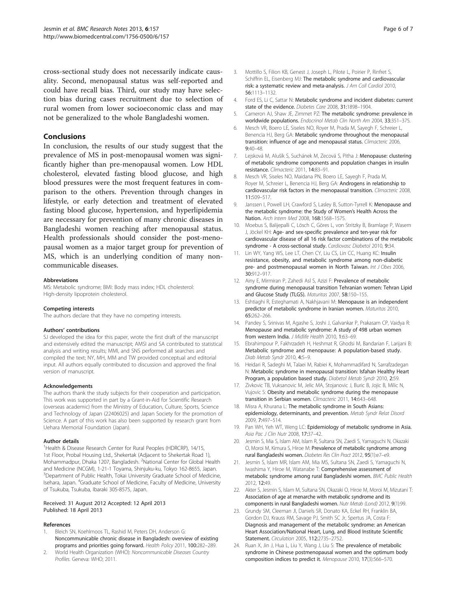<span id="page-5-0"></span>cross-sectional study does not necessarily indicate causality. Second, menopausal status was self-reported and could have recall bias. Third, our study may have selection bias during cases recruitment due to selection of rural women from lower socioeconomic class and may not be generalized to the whole Bangladeshi women.

## Conclusions

In conclusion, the results of our study suggest that the prevalence of MS in post-menopausal women was significantly higher than pre-menopausal women. Low HDL cholesterol, elevated fasting blood glucose, and high blood pressures were the most frequent features in comparison to the others. Prevention through changes in lifestyle, or early detection and treatment of elevated fasting blood glucose, hypertension, and hyperlipidemia are necessary for prevention of many chronic diseases in Bangladeshi women reaching after menopausal status. Health professionals should consider the post-menopausal women as a major target group for prevention of MS, which is an underlying condition of many noncommunicable diseases.

#### Abbreviations

MS: Metabolic syndrome; BMI: Body mass index; HDL cholesterol: High-density lipoprotein cholesterol.

#### Competing interests

The authors declare that they have no competing interests.

#### Authors' contributions

SJ developed the idea for this paper, wrote the first draft of the manuscript and extensively edited the manuscript; AMSI and SA contributed to statistical analysis and writing results; MMI, and SNS performed all searches and compiled the text; NY, MH, MM and TW provided conceptual and editorial input. All authors equally contributed to discussion and approved the final version of manuscript.

#### Acknowledgements

The authors thank the study subjects for their cooperation and participation. This work was supported in part by a Grant-in-Aid for Scientific Research (overseas academic) from the Ministry of Education, Culture, Sports, Science and Technology of Japan (22406025) and Japan Society for the promotion of Science. A part of this work has also been supported by research grant from Uehara Memorial Foundation (Japan).

#### Author details

<sup>1</sup>Health & Disease Research Center for Rural Peoples (HDRCRP), 14/15, 1st Floor, Probal Housing Ltd., Shekertak (Adjacent to Shekertak Road 1), Mohammadpur, Dhaka 1207, Bangladesh. <sup>2</sup>National Center for Global Health and Medicine (NCGM), 1-21-1 Toyama, Shinjuku-ku, Tokyo 162-8655, Japan. <sup>3</sup>Department of Public Health, Tokai University Graduate School of Medicine, Isehara, Japan. <sup>4</sup>Graduate School of Medicine, Faculty of Medicine, University of Tsukuba, Tsukuba, Ibaraki 305-8575, Japan.

#### Received: 31 August 2012 Accepted: 12 April 2013 Published: 18 April 2013

#### References

- 1. Bleich SN, Koehlmoos TL, Rashid M, Peters DH, Anderson G: Noncommunicable chronic disease in Bangladesh: overview of existing programs and priorities going forward. Health Policy 2011, 100:282–289.
- 2. World Health Organization (WHO): Noncommunicable Diseases Country Profiles. Geneva: WHO; 2011.
- 3. Mottillo S, Filion KB, Genest J, Joseph L, Pilote L, Poirier P, Rinfret S, Schiffrin EL, Eisenberg MJ: The metabolic syndrome and cardiovascular risk: a systematic review and meta-analysis. J Am Coll Cardiol 2010, 56:1113–1132.
- 4. Ford ES, Li C, Sattar N: Metabolic syndrome and incident diabetes: current state of the evidence. Diabetes Care 2008, 31:1898–1904.
- 5. Cameron AJ, Shaw JE, Zimmet PZ: The metabolic syndrome: prevalence in worldwide populations. Endocrinol Metab Clin North Am 2004, 33:351–375.
- 6. Mesch VR, Boero LE, Siseles NO, Royer M, Prada M, Sayegh F, Schreier L, Benencia HJ, Berg GA: Metabolic syndrome throughout the menopausal transition: influence of age and menopausal status. Climacteric 2006, 9:40–48.
- 7. Lejsková M, Alušík S, Suchánek M, Zecová S, Pitha J: Menopause: clustering of metabolic syndrome components and population changes in insulin resistance. Climacteric 2011, 14:83-91.
- 8. Mesch VR, Siseles NO, Maidana PN, Boero LE, Sayegh F, Prada M, Royer M, Schreier L, Benencia HJ, Berg GA: Androgens in relationship to cardiovascular risk factors in the menopausal transition. Climacteric 2008, 11:509–517.
- Janssen I, Powell LH, Crawford S, Lasley B, Sutton-Tyrrell K: Menopause and the metabolic syndrome: the Study of Women's Health Across the Nation. Arch Intern Med 2008, 168:1568–1575.
- 10. Moebus S, Balijepalli C, Lösch C, Göres L, von Stritzky B, Bramlage P, Wasem J, Jöckel KH: Age- and sex-specific prevalence and ten-year risk for cardiovascular disease of all 16 risk factor combinations of the metabolic syndrome - A cross-sectional study. Cardiovasc Diabetol 2010, 9:34.
- 11. Lin WY, Yang WS, Lee LT, Chen CY, Liu CS, Lin CC, Huang KC: Insulin resistance, obesity, and metabolic syndrome among non-diabetic pre- and postmenopausal women in North Taiwan. Int J Obes 2006, 30:912–917.
- 12. Ainy E, Mirmiran P, Zahedi Asl S, Azizi F: Prevalence of metabolic syndrome during menopausal transition Tehranian women: Tehran Lipid and Glucose Study (TLGS). Maturitas 2007, 58:150–155.
- 13. Eshtiaghi R, Esteghamati A, Nakhjavani M: Menopause is an independent predictor of metabolic syndrome in Iranian women. Maturitas 2010, 65:262–266.
- 14. Pandey S, Srinivas M, Agashe S, Joshi J, Galvankar P, Prakasam CP, Vaidya R: Menopause and metabolic syndrome: A study of 498 urban women from western India. J Midlife Health 2010, 1:63-69.
- 15. Ebrahimpour P, Fakhrzadeh H, Heshmat R, Ghodsi M, Bandarian F, Larijani B: Metabolic syndrome and menopause: A population-based study. Diab Metab Syndr 2010, 4:5–9.
- 16. Heidari R, Sadeghi M, Talaei M, Rabiei K, Mohammadifard N, Sarrafzadegan N: Metabolic syndrome in menopausal transition: Isfahan Healthy Heart Program, a population based study. Diabetol Metab Syndr 2010, 2:59.
- 17. Zivkovic TB, Vuksanovic M, Jelic MA, Stojanovic J, Buric B, Jojic B, Milic N, Vujovic S: Obesity and metabolic syndrome during the menopause transition in Serbian women. Climacteric 2011, 14:643–648.
- 18. Misra A, Khurana L: The metabolic syndrome in South Asians: epidemiology, determinants, and prevention. Metab Syndr Relat Disord 2009, 7:497–514.
- 19. Pan WH, Yeh WT, Weng LC: Epidemiology of metabolic syndrome in Asia. Asia Pac J Clin Nutr 2008, 17:37–42.
- 20. Jesmin S, Mia S, Islam AM, Islam R, Sultana SN, Zaedi S, Yamaguchi N, Okazaki O, Moroi M, Kimura S, Hiroe M: Prevalence of metabolic syndrome among rural Bangladeshi women. Diabetes Res Clin Pract 2012, 95(1):e7–e9.
- 21. Jesmin S, Islam MR, Islam AM, Mia MS, Sultana SN, Zaedi S, Yamaguchi N, Iwashima Y, Hiroe M, Watanabe T: Comprehensive assessment of metabolic syndrome among rural Bangladeshi women. BMC Public Health 2012, 12:49.
- 22. Akter S, Jesmin S, Islam M, Sultana SN, Okazaki O, Hiroe M, Moroi M, Mizutani T: Association of age at menarche with metabolic syndrome and its components in rural Bangladeshi women. Nutr Metab (Lond) 2012, 9(1):99.
- 23. Grundy SM, Cleeman JI, Daniels SR, Donato KA, Eckel RH, Franklin BA, Gordon DJ, Krauss RM, Savage PJ, Smith SC Jr, Spertus JA, Costa F: Diagnosis and management of the metabolic syndrome: an American Heart Association/National Heart, Lung, and Blood Institute Scientific Statement. Circulation 2005, 112:2735–2752.
- 24. Ruan X, Jin J, Hua L, Liu Y, Wang J, Liu S: The prevalence of metabolic syndrome in Chinese postmenopausal women and the optimum body composition indices to predict it. Menopause 2010, 17(3):566–570.